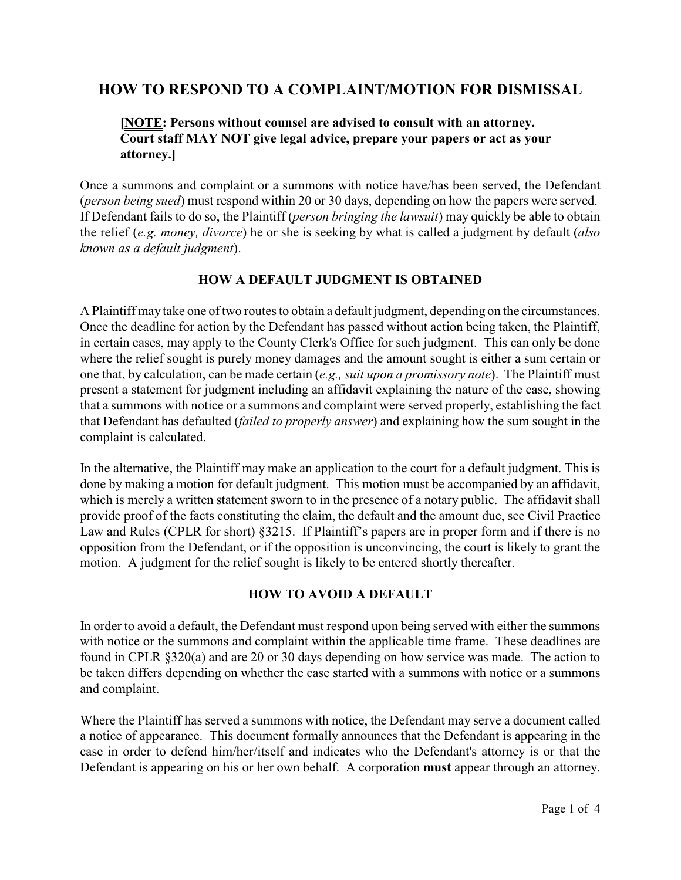# **HOW TO RESPOND TO A COMPLAINT/MOTION FOR DISMISSAL**

## **[NOTE: Persons without counsel are advised to consult with an attorney. Court staff MAY NOT give legal advice, prepare your papers or act as your attorney.]**

Once a summons and complaint or a summons with notice have/has been served, the Defendant (*person being sued*) must respond within 20 or 30 days, depending on how the papers were served. If Defendant fails to do so, the Plaintiff (*person bringing the lawsuit*) may quickly be able to obtain the relief (*e.g. money, divorce*) he or she is seeking by what is called a judgment by default (*also known as a default judgment*).

## **HOW A DEFAULT JUDGMENT IS OBTAINED**

A Plaintiff may take one of two routes to obtain a default judgment, depending on the circumstances. Once the deadline for action by the Defendant has passed without action being taken, the Plaintiff, in certain cases, may apply to the County Clerk's Office for such judgment. This can only be done where the relief sought is purely money damages and the amount sought is either a sum certain or one that, by calculation, can be made certain (*e.g., suit upon a promissory note*). The Plaintiff must present a statement for judgment including an affidavit explaining the nature of the case, showing that a summons with notice or a summons and complaint were served properly, establishing the fact that Defendant has defaulted (*failed to properly answer*) and explaining how the sum sought in the complaint is calculated.

In the alternative, the Plaintiff may make an application to the court for a default judgment. This is done by making a motion for default judgment. This motion must be accompanied by an affidavit, which is merely a written statement sworn to in the presence of a notary public. The affidavit shall provide proof of the facts constituting the claim, the default and the amount due, see Civil Practice Law and Rules (CPLR for short) §3215. If Plaintiff's papers are in proper form and if there is no opposition from the Defendant, or if the opposition is unconvincing, the court is likely to grant the motion. A judgment for the relief sought is likely to be entered shortly thereafter.

## **HOW TO AVOID A DEFAULT**

In order to avoid a default, the Defendant must respond upon being served with either the summons with notice or the summons and complaint within the applicable time frame. These deadlines are found in CPLR §320(a) and are 20 or 30 days depending on how service was made. The action to be taken differs depending on whether the case started with a summons with notice or a summons and complaint.

Where the Plaintiff has served a summons with notice, the Defendant may serve a document called a notice of appearance. This document formally announces that the Defendant is appearing in the case in order to defend him/her/itself and indicates who the Defendant's attorney is or that the Defendant is appearing on his or her own behalf. A corporation **must** appear through an attorney.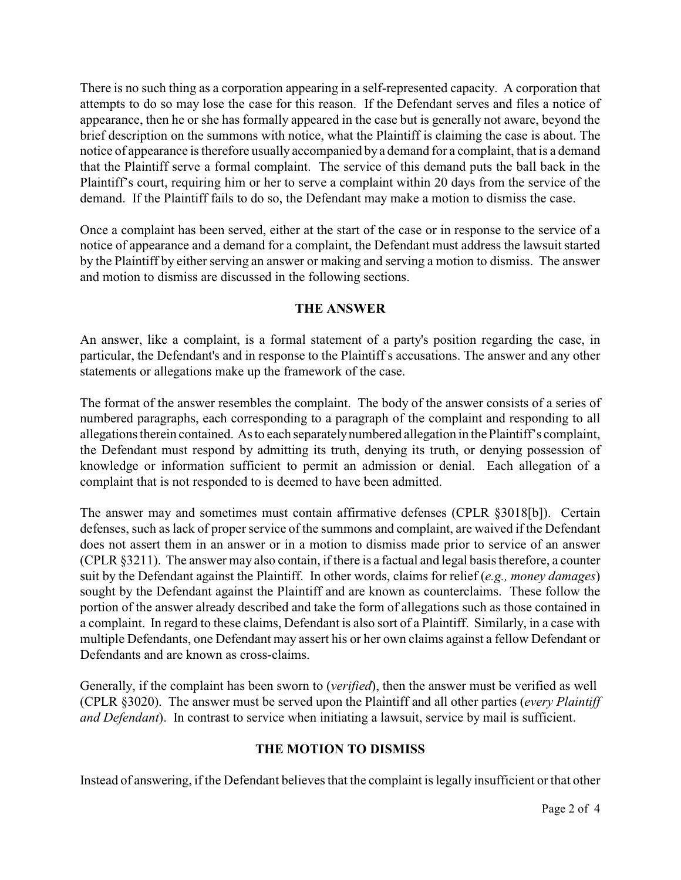There is no such thing as a corporation appearing in a self-represented capacity. A corporation that attempts to do so may lose the case for this reason. If the Defendant serves and files a notice of appearance, then he or she has formally appeared in the case but is generally not aware, beyond the brief description on the summons with notice, what the Plaintiff is claiming the case is about. The notice of appearance is therefore usually accompanied bya demand for a complaint, that is a demand that the Plaintiff serve a formal complaint. The service of this demand puts the ball back in the Plaintiff's court, requiring him or her to serve a complaint within 20 days from the service of the demand. If the Plaintiff fails to do so, the Defendant may make a motion to dismiss the case.

Once a complaint has been served, either at the start of the case or in response to the service of a notice of appearance and a demand for a complaint, the Defendant must address the lawsuit started by the Plaintiff by either serving an answer or making and serving a motion to dismiss. The answer and motion to dismiss are discussed in the following sections.

#### **THE ANSWER**

An answer, like a complaint, is a formal statement of a party's position regarding the case, in particular, the Defendant's and in response to the Plaintiff s accusations. The answer and any other statements or allegations make up the framework of the case.

The format of the answer resembles the complaint. The body of the answer consists of a series of numbered paragraphs, each corresponding to a paragraph of the complaint and responding to all allegations therein contained. As to each separatelynumbered allegation in thePlaintiff's complaint, the Defendant must respond by admitting its truth, denying its truth, or denying possession of knowledge or information sufficient to permit an admission or denial. Each allegation of a complaint that is not responded to is deemed to have been admitted.

The answer may and sometimes must contain affirmative defenses (CPLR §3018[b]). Certain defenses, such as lack of proper service of the summons and complaint, are waived if the Defendant does not assert them in an answer or in a motion to dismiss made prior to service of an answer (CPLR §3211). The answer may also contain, if there is a factual and legal basis therefore, a counter suit by the Defendant against the Plaintiff. In other words, claims for relief (*e.g., money damages*) sought by the Defendant against the Plaintiff and are known as counterclaims. These follow the portion of the answer already described and take the form of allegations such as those contained in a complaint. In regard to these claims, Defendant is also sort of a Plaintiff. Similarly, in a case with multiple Defendants, one Defendant may assert his or her own claims against a fellow Defendant or Defendants and are known as cross-claims.

Generally, if the complaint has been sworn to (*verified*), then the answer must be verified as well (CPLR §3020). The answer must be served upon the Plaintiff and all other parties (*every Plaintiff and Defendant*). In contrast to service when initiating a lawsuit, service by mail is sufficient.

## **THE MOTION TO DISMISS**

Instead of answering, if the Defendant believes that the complaint is legally insufficient or that other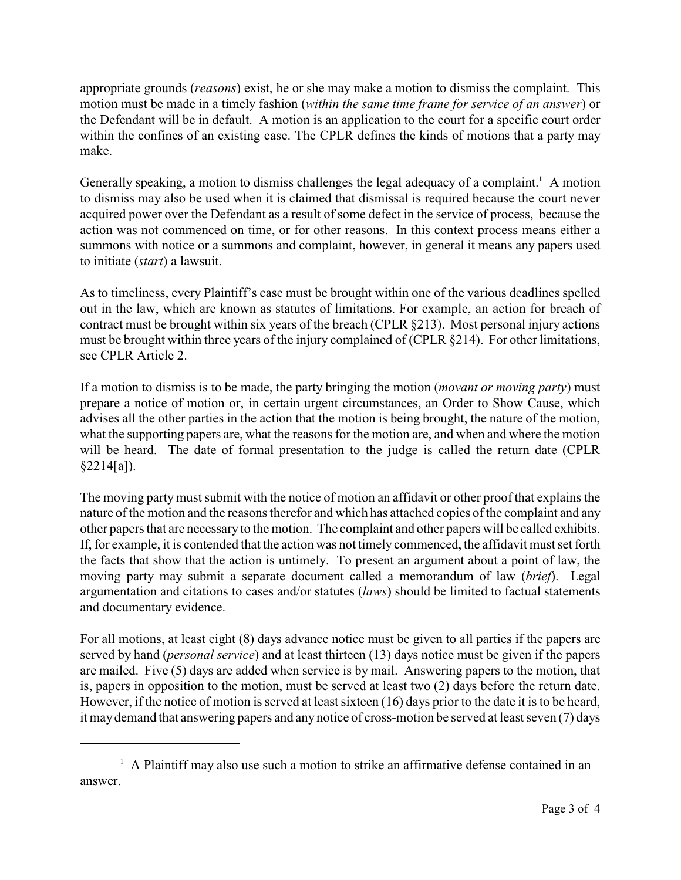appropriate grounds (*reasons*) exist, he or she may make a motion to dismiss the complaint. This motion must be made in a timely fashion (*within the same time frame for service of an answer*) or the Defendant will be in default. A motion is an application to the court for a specific court order within the confines of an existing case. The CPLR defines the kinds of motions that a party may make.

Generally speaking, a motion to dismiss challenges the legal adequacy of a complaint.<sup>1</sup> A motion to dismiss may also be used when it is claimed that dismissal is required because the court never acquired power over the Defendant as a result of some defect in the service of process, because the action was not commenced on time, or for other reasons. In this context process means either a summons with notice or a summons and complaint, however, in general it means any papers used to initiate (*start*) a lawsuit.

As to timeliness, every Plaintiff's case must be brought within one of the various deadlines spelled out in the law, which are known as statutes of limitations. For example, an action for breach of contract must be brought within six years of the breach (CPLR §213). Most personal injury actions must be brought within three years of the injury complained of (CPLR §214). For other limitations, see CPLR Article 2.

If a motion to dismiss is to be made, the party bringing the motion (*movant or moving party*) must prepare a notice of motion or, in certain urgent circumstances, an Order to Show Cause, which advises all the other parties in the action that the motion is being brought, the nature of the motion, what the supporting papers are, what the reasons for the motion are, and when and where the motion will be heard. The date of formal presentation to the judge is called the return date (CPLR §2214[a]).

The moving partymust submit with the notice of motion an affidavit or other proof that explains the nature of the motion and the reasons therefor and which has attached copies of the complaint and any other papers that are necessary to the motion. The complaint and other papers will be called exhibits. If, for example, it is contended that the action was not timely commenced, the affidavit must set forth the facts that show that the action is untimely. To present an argument about a point of law, the moving party may submit a separate document called a memorandum of law (*brief*). Legal argumentation and citations to cases and/or statutes (*laws*) should be limited to factual statements and documentary evidence.

For all motions, at least eight (8) days advance notice must be given to all parties if the papers are served by hand (*personal service*) and at least thirteen (13) days notice must be given if the papers are mailed. Five (5) days are added when service is by mail. Answering papers to the motion, that is, papers in opposition to the motion, must be served at least two (2) days before the return date. However, if the notice of motion is served at least sixteen (16) days prior to the date it is to be heard, it maydemand that answering papers and any notice of cross-motion be served at least seven (7) days

 $^1$  A Plaintiff may also use such a motion to strike an affirmative defense contained in an answer.